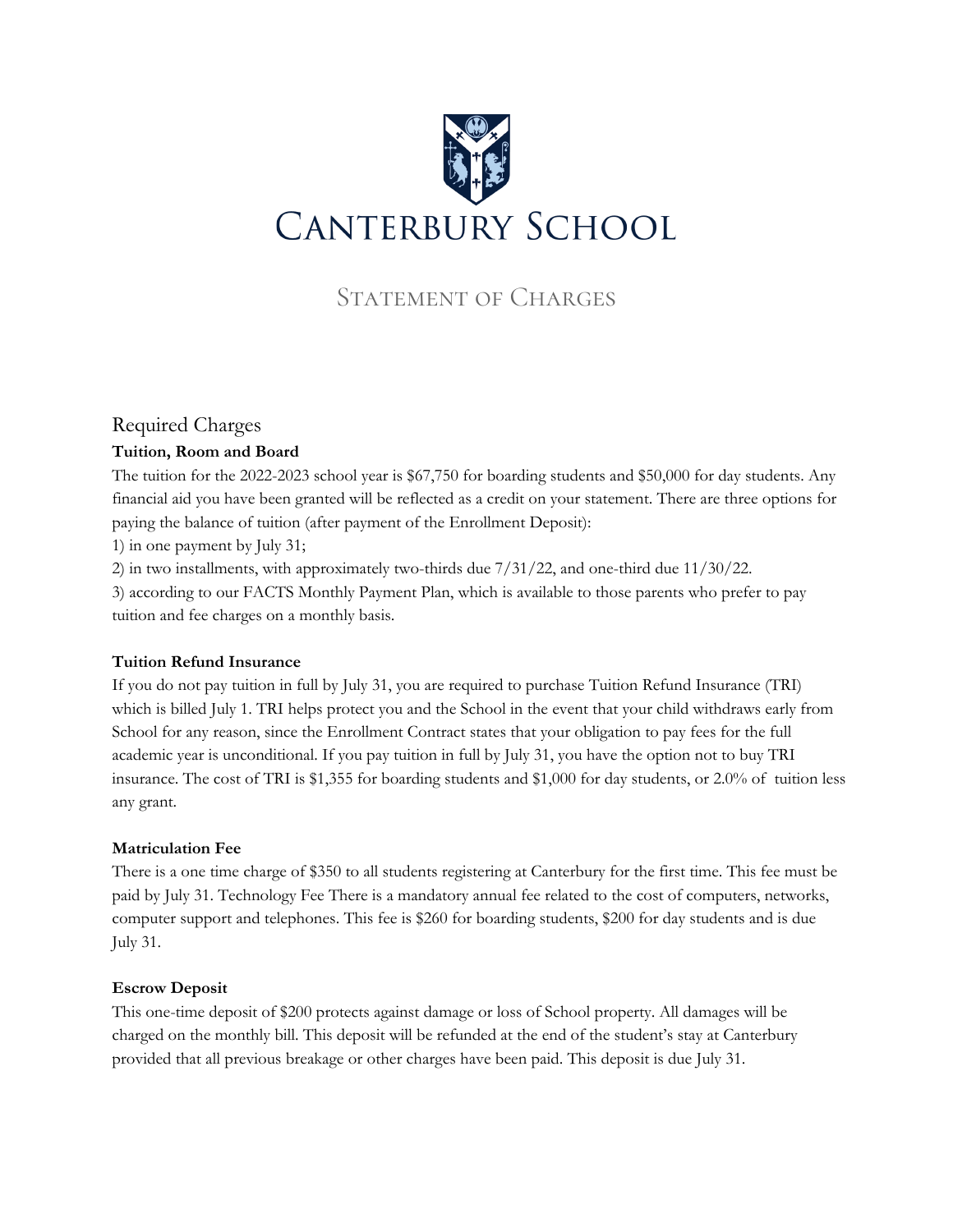

# STATEMENT OF CHARGES

# Required Charges

# **Tuition, Room and Board**

The tuition for the 2022-2023 school year is \$67,750 for boarding students and \$50,000 for day students. Any financial aid you have been granted will be reflected as a credit on your statement. There are three options for paying the balance of tuition (after payment of the Enrollment Deposit):

1) in one payment by July 31;

2) in two installments, with approximately two-thirds due 7/31/22, and one-third due 11/30/22.

3) according to our FACTS Monthly Payment Plan, which is available to those parents who prefer to pay tuition and fee charges on a monthly basis.

# **Tuition Refund Insurance**

If you do not pay tuition in full by July 31, you are required to purchase Tuition Refund Insurance (TRI) which is billed July 1. TRI helps protect you and the School in the event that your child withdraws early from School for any reason, since the Enrollment Contract states that your obligation to pay fees for the full academic year is unconditional. If you pay tuition in full by July 31, you have the option not to buy TRI insurance. The cost of TRI is \$1,355 for boarding students and \$1,000 for day students, or 2.0% of tuition less any grant.

# **Matriculation Fee**

There is a one time charge of \$350 to all students registering at Canterbury for the first time. This fee must be paid by July 31. Technology Fee There is a mandatory annual fee related to the cost of computers, networks, computer support and telephones. This fee is \$260 for boarding students, \$200 for day students and is due July 31.

# **Escrow Deposit**

This one-time deposit of \$200 protects against damage or loss of School property. All damages will be charged on the monthly bill. This deposit will be refunded at the end of the student's stay at Canterbury provided that all previous breakage or other charges have been paid. This deposit is due July 31.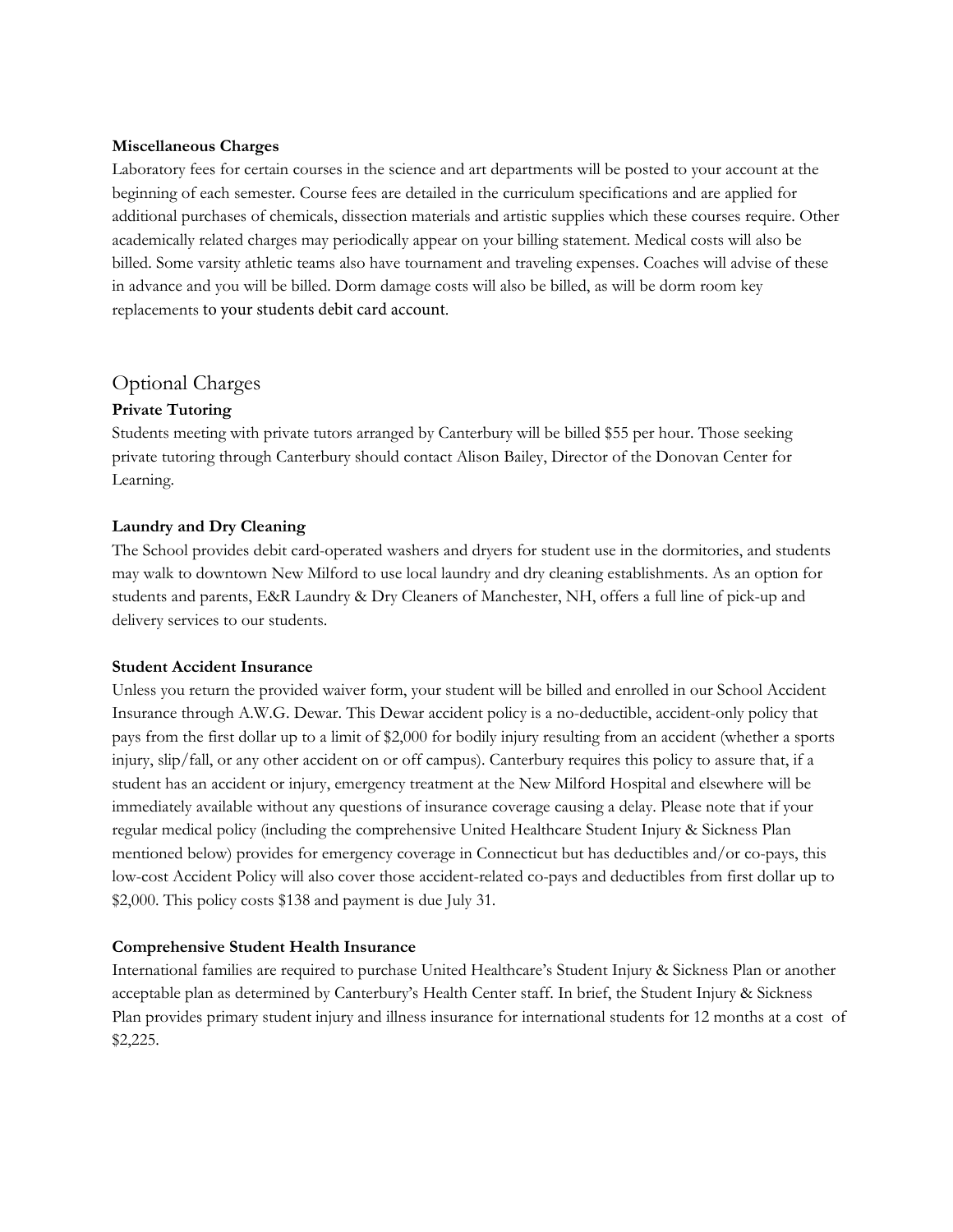#### **Miscellaneous Charges**

Laboratory fees for certain courses in the science and art departments will be posted to your account at the beginning of each semester. Course fees are detailed in the curriculum specifications and are applied for additional purchases of chemicals, dissection materials and artistic supplies which these courses require. Other academically related charges may periodically appear on your billing statement. Medical costs will also be billed. Some varsity athletic teams also have tournament and traveling expenses. Coaches will advise of these in advance and you will be billed. Dorm damage costs will also be billed, as will be dorm room key replacements to your students debit card account.

# Optional Charges

## **Private Tutoring**

Students meeting with private tutors arranged by Canterbury will be billed \$55 per hour. Those seeking private tutoring through Canterbury should contact Alison Bailey, Director of the Donovan Center for Learning.

## **Laundry and Dry Cleaning**

The School provides debit card-operated washers and dryers for student use in the dormitories, and students may walk to downtown New Milford to use local laundry and dry cleaning establishments. As an option for students and parents, E&R Laundry & Dry Cleaners of Manchester, NH, offers a full line of pick-up and delivery services to our students.

## **Student Accident Insurance**

Unless you return the provided waiver form, your student will be billed and enrolled in our School Accident Insurance through A.W.G. Dewar. This Dewar accident policy is a no-deductible, accident-only policy that pays from the first dollar up to a limit of \$2,000 for bodily injury resulting from an accident (whether a sports injury, slip/fall, or any other accident on or off campus). Canterbury requires this policy to assure that, if a student has an accident or injury, emergency treatment at the New Milford Hospital and elsewhere will be immediately available without any questions of insurance coverage causing a delay. Please note that if your regular medical policy (including the comprehensive United Healthcare Student Injury & Sickness Plan mentioned below) provides for emergency coverage in Connecticut but has deductibles and/or co-pays, this low-cost Accident Policy will also cover those accident-related co-pays and deductibles from first dollar up to \$2,000. This policy costs \$138 and payment is due July 31.

## **Comprehensive Student Health Insurance**

International families are required to purchase United Healthcare's Student Injury & Sickness Plan or another acceptable plan as determined by Canterbury's Health Center staff. In brief, the Student Injury & Sickness Plan provides primary student injury and illness insurance for international students for 12 months at a cost of \$2,225.